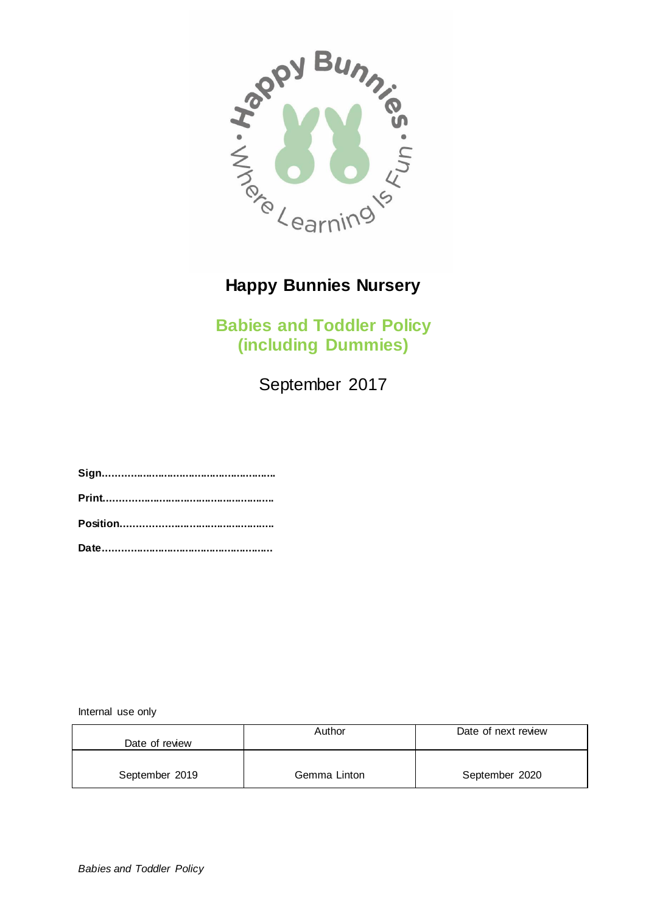

**Babies and Toddler Policy (including Dummies)**

September 2017

**Sign......................................................... Print........................................................ Position.................................................. Date........................................................**

Internal use only

|                | Author       | Date of next review |
|----------------|--------------|---------------------|
| Date of review |              |                     |
|                |              |                     |
| September 2019 | Gemma Linton | September 2020      |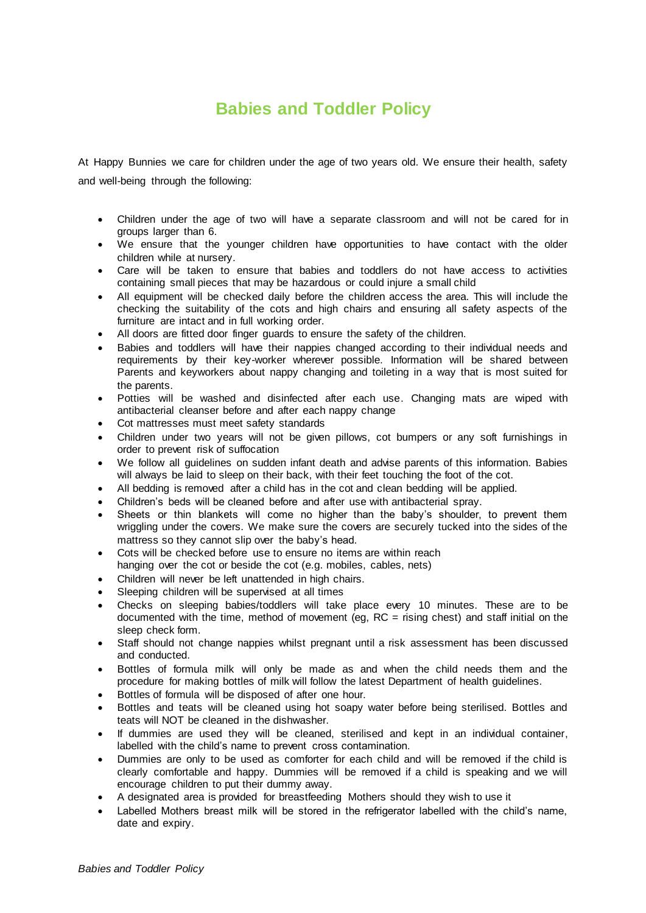## **Babies and Toddler Policy**

At Happy Bunnies we care for children under the age of two years old. We ensure their health, safety and well-being through the following:

- Children under the age of two will have a separate classroom and will not be cared for in groups larger than 6.
- We ensure that the younger children have opportunities to have contact with the older children while at nursery.
- Care will be taken to ensure that babies and toddlers do not have access to activities containing small pieces that may be hazardous or could injure a small child
- All equipment will be checked daily before the children access the area. This will include the checking the suitability of the cots and high chairs and ensuring all safety aspects of the furniture are intact and in full working order.
- All doors are fitted door finger guards to ensure the safety of the children.
- Babies and toddlers will have their nappies changed according to their individual needs and requirements by their key-worker wherever possible. Information will be shared between Parents and keyworkers about nappy changing and toileting in a way that is most suited for the parents.
- Potties will be washed and disinfected after each use. Changing mats are wiped with antibacterial cleanser before and after each nappy change
- Cot mattresses must meet safety standards
- Children under two years will not be given pillows, cot bumpers or any soft furnishings in order to prevent risk of suffocation
- We follow all guidelines on sudden infant death and advise parents of this information. Babies will always be laid to sleep on their back, with their feet touching the foot of the cot.
- All bedding is removed after a child has in the cot and clean bedding will be applied.
- Children's beds will be cleaned before and after use with antibacterial spray.
- Sheets or thin blankets will come no higher than the baby's shoulder, to prevent them wriggling under the covers. We make sure the covers are securely tucked into the sides of the mattress so they cannot slip over the baby's head.
- Cots will be checked before use to ensure no items are within reach hanging over the cot or beside the cot (e.g. mobiles, cables, nets)
- Children will never be left unattended in high chairs.
- Sleeping children will be supervised at all times
- Checks on sleeping babies/toddlers will take place every 10 minutes. These are to be documented with the time, method of movement (eg,  $RC =$  rising chest) and staff initial on the sleep check form.
- Staff should not change nappies whilst pregnant until a risk assessment has been discussed and conducted.
- Bottles of formula milk will only be made as and when the child needs them and the procedure for making bottles of milk will follow the latest Department of health guidelines.
- Bottles of formula will be disposed of after one hour.
- Bottles and teats will be cleaned using hot soapy water before being sterilised. Bottles and teats will NOT be cleaned in the dishwasher.
- If dummies are used they will be cleaned, sterilised and kept in an individual container, labelled with the child's name to prevent cross contamination.
- Dummies are only to be used as comforter for each child and will be removed if the child is clearly comfortable and happy. Dummies will be removed if a child is speaking and we will encourage children to put their dummy away.
- A designated area is provided for breastfeeding Mothers should they wish to use it
- Labelled Mothers breast milk will be stored in the refrigerator labelled with the child's name, date and expiry.